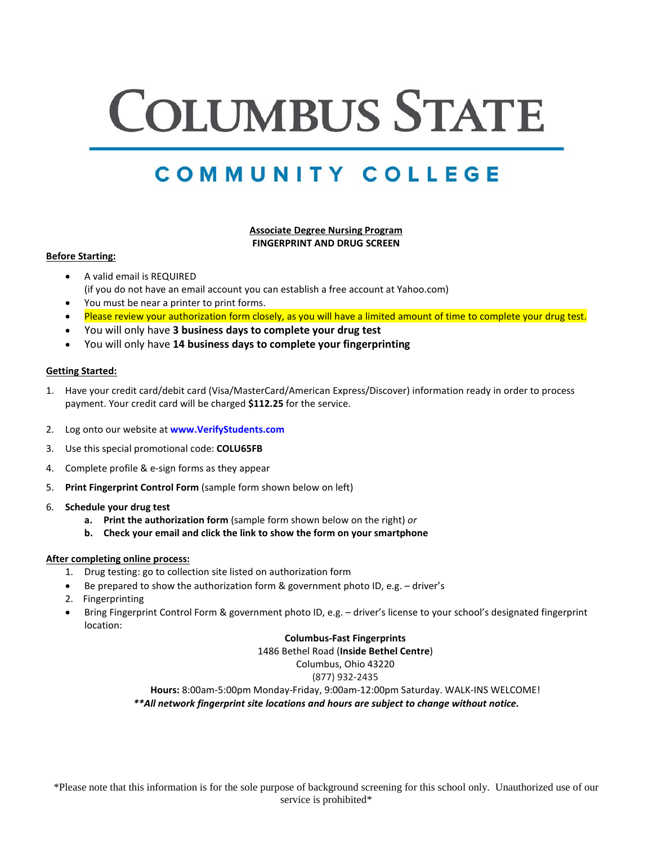# **COLUMBUS STATE**

# COMMUNITY COLLEGE

# **Associate Degree Nursing Program FINGERPRINT AND DRUG SCREEN**

#### **Before Starting:**

- A valid email is REQUIRED (if you do not have an email account you can establish a free account at Yahoo.com)
- You must be near a printer to print forms.
- Please review your authorization form closely, as you will have a limited amount of time to complete your drug test.
- You will only have **3 business days to complete your drug test**
- You will only have **14 business days to complete your fingerprinting**

#### **Getting Started:**

- 1. Have your credit card/debit card (Visa/MasterCard/American Express/Discover) information ready in order to process payment. Your credit card will be charged **\$112.25** for the service.
- 2. Log onto our website at **www.VerifyStudents.com**
- 3. Use this special promotional code: **COLU65FB**
- 4. Complete profile & e-sign forms as they appear
- 5. **Print Fingerprint Control Form** (sample form shown below on left)
- 6. **Schedule your drug test** 
	- **a. Print the authorization form** (sample form shown below on the right) *or*
	- **b. Check your email and click the link to show the form on your smartphone**

#### **After completing online process:**

- 1. Drug testing: go to collection site listed on authorization form
- Be prepared to show the authorization form & government photo ID, e.g. driver's
- 2. Fingerprinting
- Bring Fingerprint Control Form & government photo ID, e.g. driver's license to your school's designated fingerprint location:

## **Columbus-Fast Fingerprints**

1486 Bethel Road (**Inside Bethel Centre**)

Columbus, Ohio 43220

## (877) 932-2435

**Hours:** 8:00am-5:00pm Monday-Friday, 9:00am-12:00pm Saturday. WALK-INS WELCOME! *\*\*All network fingerprint site locations and hours are subject to change without notice.*